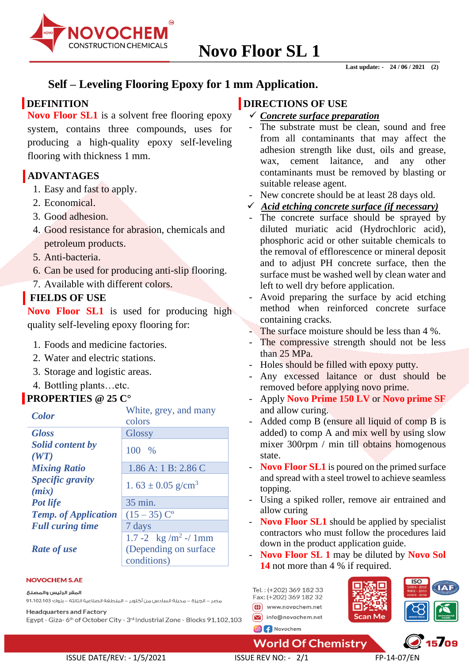

# **Self – Leveling Flooring Epoxy for 1 mm Application.**

### **DEFINITION**

**Novo Floor SL1** is a solvent free flooring epoxy system, contains three compounds, uses for producing a high-quality epoxy self-leveling flooring with thickness 1 mm.

# **ADVANTAGES**

- 1. Easy and fast to apply.
- 2. Economical.
- 3. Good adhesion.
- 4. Good resistance for abrasion, chemicals and petroleum products.
- 5. Anti-bacteria.
- 6. Can be used for producing anti-slip flooring.
- 7. Available with different colors.

## **FIELDS OF USE**

Novo Floor SL1 is used for producing high quality self-leveling epoxy flooring for:

- 1. Foods and medicine factories.
- 2. Water and electric stations.
- 3. Storage and logistic areas.
- 4. Bottling plants…etc.

## **PROPERTIES @ 25 C°**

| AVI ENTIES C 45 C           |                                    |
|-----------------------------|------------------------------------|
| <b>Color</b>                | White, grey, and many              |
|                             | colors                             |
| <b>Gloss</b>                | <b>Glossy</b>                      |
| <b>Solid content by</b>     | 100 %                              |
| (WT)                        |                                    |
| <b>Mixing Ratio</b>         | 1.86 A: 1 B: 2.86 C                |
| <b>Specific gravity</b>     | 1. $63 \pm 0.05$ g/cm <sup>3</sup> |
| (mix)                       |                                    |
| <b>Pot life</b>             | 35 min.                            |
| <b>Temp.</b> of Application | $(15-35)$ C <sup>o</sup>           |
| <b>Full curing time</b>     | 7 days                             |
|                             | 1.7 -2 kg /m <sup>2</sup> -/ 1mm   |
| Rate of use                 | (Depending on surface              |
|                             | conditions)                        |

### **NOVOCHEM S.AE**

المقر الرئيس والمصنع

مصر – الجيزة – مدينة السادس من أكتوبر – المنطقة الصناعية الثالثة – بلوك 1،102،103 91،102

**Headquarters and Factory** 

Egypt - Giza- 6<sup>th</sup> of October City - 3<sup>rd</sup> Industrial Zone - Blocks 91,102,103

### **DIRECTIONS OF USE**

- ✓ *Concrete surface preparation*
- The substrate must be clean, sound and free from all contaminants that may affect the adhesion strength like dust, oils and grease, wax, cement laitance, and any other contaminants must be removed by blasting or suitable release agent.
- New concrete should be at least 28 days old.
- ✓ *Acid etching concrete surface (if necessary)*
- The concrete surface should be sprayed by diluted muriatic acid (Hydrochloric acid), phosphoric acid or other suitable chemicals to the removal of efflorescence or mineral deposit and to adjust PH concrete surface, then the surface must be washed well by clean water and left to well dry before application.
- Avoid preparing the surface by acid etching method when reinforced concrete surface containing cracks.
- The surface moisture should be less than 4 %.
- The compressive strength should not be less than 25 MPa.
- Holes should be filled with epoxy putty.
- Any excessed laitance or dust should be removed before applying novo prime.
- Apply **Novo Prime 150 LV** or **Novo prime SF** and allow curing.
- Added comp B (ensure all liquid of comp B is added) to comp A and mix well by using slow mixer 300rpm / min till obtains homogenous state.
- **Novo Floor SL1** is poured on the primed surface and spread with a steel trowel to achieve seamless topping.
- Using a spiked roller, remove air entrained and allow curing
- **Novo Floor SL1** should be applied by specialist contractors who must follow the procedures laid down in the product application guide.
- **Novo Floor SL 1** may be diluted by **Novo Sol**  14 not more than 4 % if required.

Tel.: (+202) 369 182 33 Fax: (+202) 369 182 32 (1) www.novochem.net  $\boxed{\smash{\triangleright}}$  info@novochem.net



 $^{\circ}$  15 $^{\prime}$ 09

**World Of Chemistry** 

ISSUE DATE/REV: - 1/5/2021 ISSUE REV NO: - 2/1 FP-14-07/EN

O f Novochem